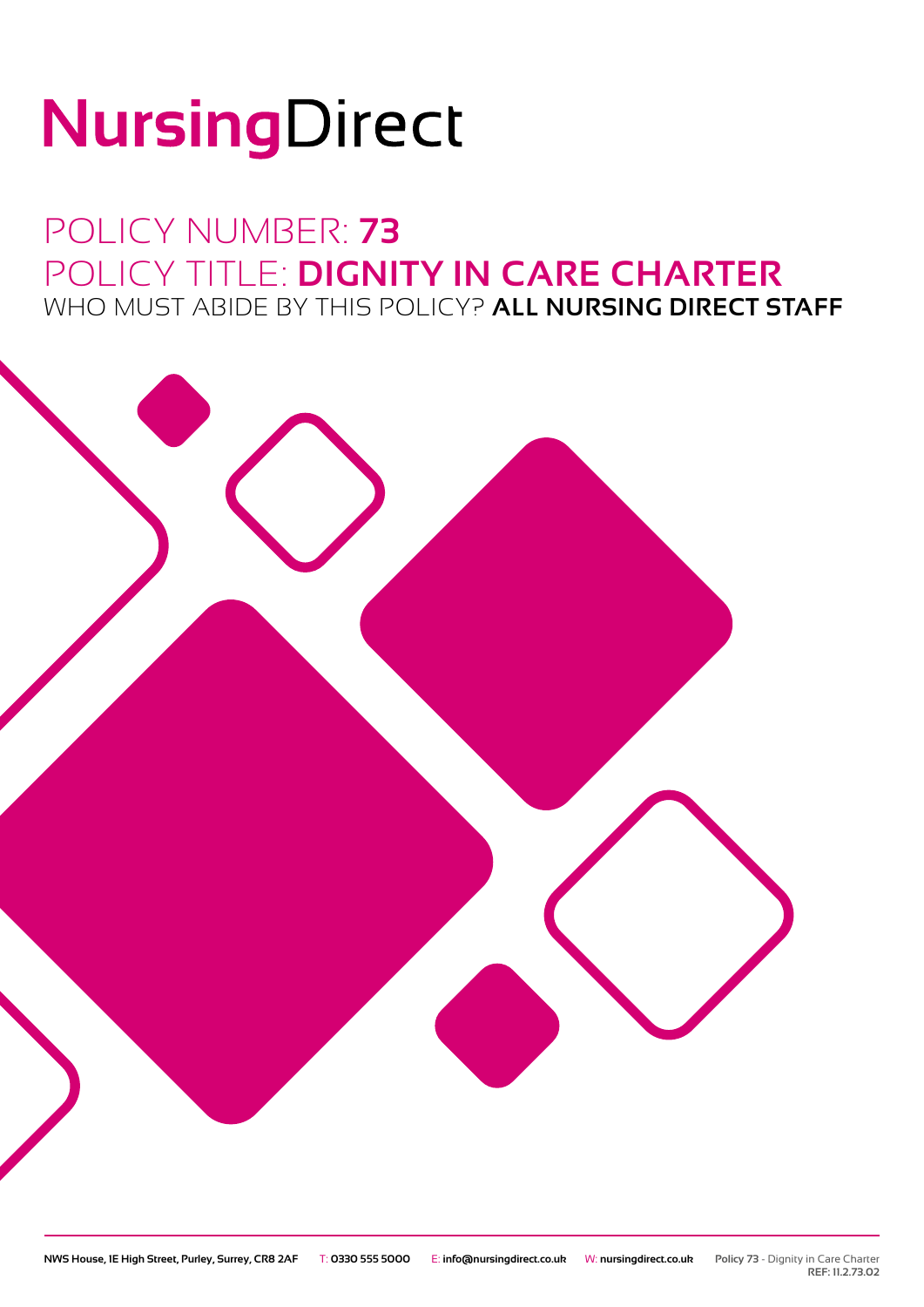# NursingDirect

## POLICY NUMBER: **73** POLICY TITLE: **DIGNITY IN CARE CHARTER** WHO MUST ABIDE BY THIS POLICY? **ALL NURSING DIRECT STAFF**